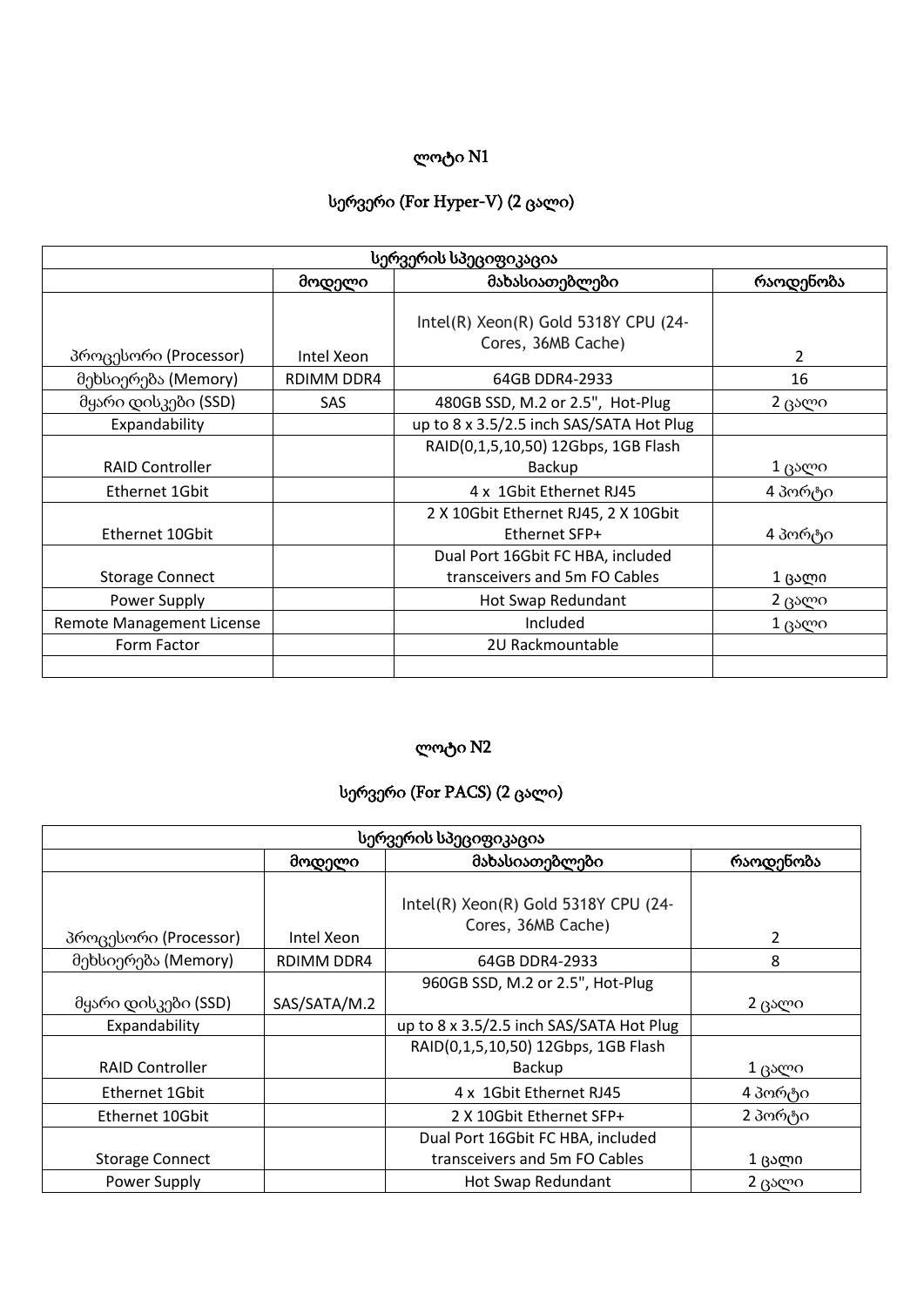#### სერვერი (For Hyper-V) (2 ცალი)

| სერვერის სპეციფიკაცია            |            |                                                                    |                |
|----------------------------------|------------|--------------------------------------------------------------------|----------------|
|                                  | მოდელი     | მახასიათებლები                                                     | რაოდენობა      |
| პროცესორი (Processor)            | Intel Xeon | Intel(R) Xeon(R) Gold 5318Y CPU (24-<br>Cores, 36MB Cache)         | $\overline{2}$ |
| მეხსიერება (Memory)              | RDIMM DDR4 | 64GB DDR4-2933                                                     | 16             |
| მყარი დისკები (SSD)              | <b>SAS</b> | 480GB SSD, M.2 or 2.5", Hot-Plug                                   | 2 ცალი         |
| Expandability                    |            | up to 8 x 3.5/2.5 inch SAS/SATA Hot Plug                           |                |
|                                  |            | RAID(0,1,5,10,50) 12Gbps, 1GB Flash                                |                |
| <b>RAID Controller</b>           |            | <b>Backup</b>                                                      | $1$ ცალი       |
| Ethernet 1Gbit                   |            | 4 x 1Gbit Ethernet RJ45                                            | 4 პორტი        |
| Ethernet 10Gbit                  |            | 2 X 10Gbit Ethernet RJ45, 2 X 10Gbit<br>Ethernet SFP+              | 4 პორტი        |
| <b>Storage Connect</b>           |            | Dual Port 16Gbit FC HBA, included<br>transceivers and 5m FO Cables | 1 ცალი         |
| Power Supply                     |            | Hot Swap Redundant                                                 | 2 ცალი         |
| <b>Remote Management License</b> |            | Included                                                           | 1 ცალი         |
| Form Factor                      |            | 2U Rackmountable                                                   |                |
|                                  |            |                                                                    |                |

## ლოტი N2

# სერვერი (For PACS) (2 ცალი)

| სერვერის სპეციფიკაცია  |                          |                                                                    |                |
|------------------------|--------------------------|--------------------------------------------------------------------|----------------|
|                        | მახასიათებლები<br>მოდელი |                                                                    | რაოდენობა      |
| პროცესორი (Processor)  | Intel Xeon               | Intel(R) Xeon(R) Gold 5318Y CPU (24-<br>Cores, 36MB Cache)         | $\overline{2}$ |
| მეხსიერება (Memory)    | RDIMM DDR4               | 64GB DDR4-2933                                                     | 8              |
| მყარი დისკები (SSD)    | SAS/SATA/M.2             | 960GB SSD, M.2 or 2.5", Hot-Plug                                   | 2 ცალი         |
| Expandability          |                          | up to 8 x 3.5/2.5 inch SAS/SATA Hot Plug                           |                |
| <b>RAID Controller</b> |                          | RAID(0,1,5,10,50) 12Gbps, 1GB Flash<br>Backup                      | 1 ცალი         |
| Ethernet 1Gbit         |                          | 4 x 1Gbit Ethernet RJ45                                            | 4 პორტი        |
| Ethernet 10Gbit        |                          | 2 X 10Gbit Ethernet SFP+                                           | 2 პორტი        |
| <b>Storage Connect</b> |                          | Dual Port 16Gbit FC HBA, included<br>transceivers and 5m FO Cables | 1 ცალი         |
| Power Supply           |                          | Hot Swap Redundant                                                 | 2 ცალი         |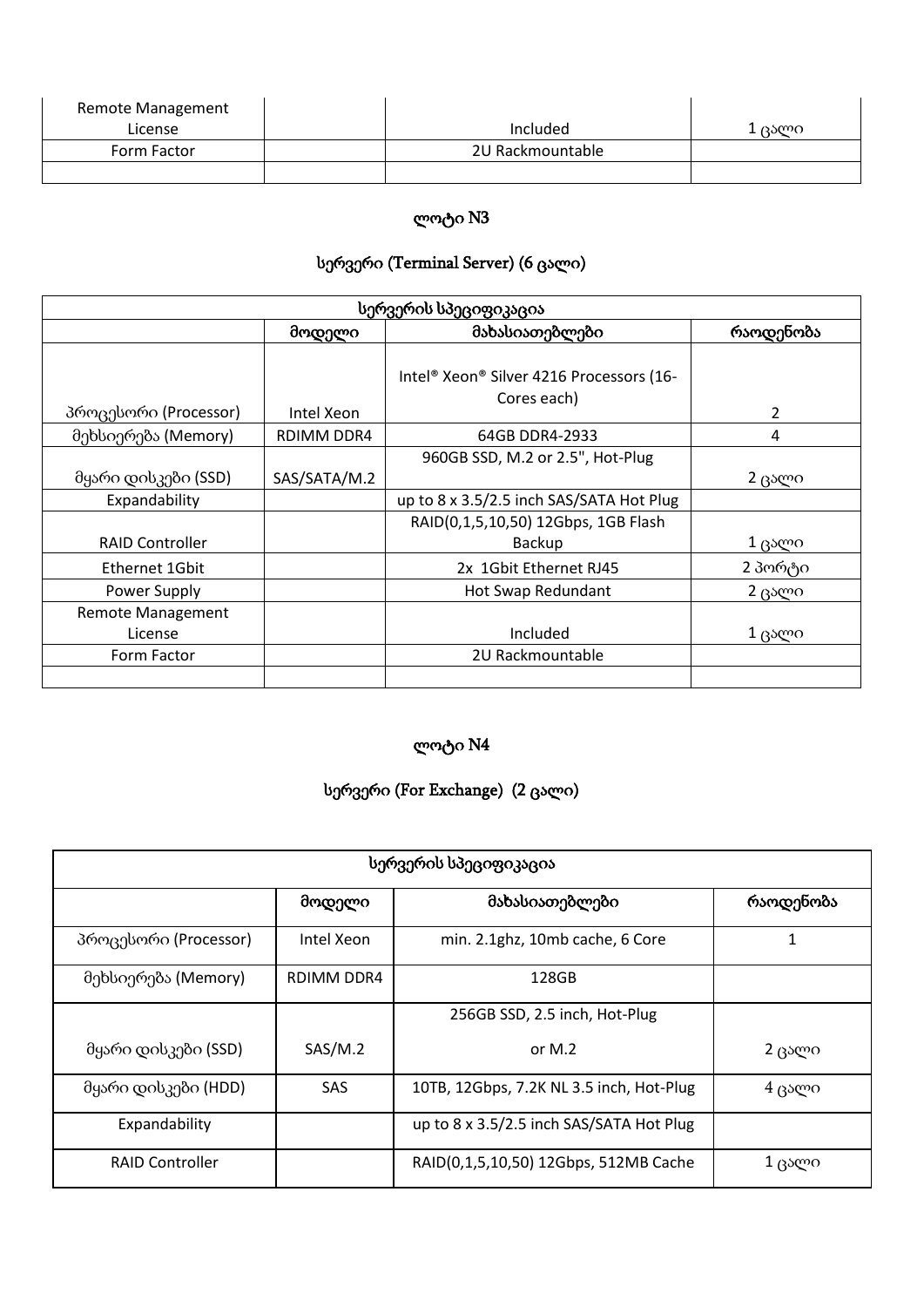| <b>Remote Management</b> |                  |      |
|--------------------------|------------------|------|
| License                  | Included         | ცალი |
| Form Factor              | 2U Rackmountable |      |
|                          |                  |      |

# სერვერი (Terminal Server) (6 ცალი)

| სერვერის სპეციფიკაცია    |                          |                                                         |           |
|--------------------------|--------------------------|---------------------------------------------------------|-----------|
|                          | მახასიათებლები<br>მოდელი |                                                         | რაოდენობა |
| პროცესორი (Processor)    | Intel Xeon               | Intel® Xeon® Silver 4216 Processors (16-<br>Cores each) | 2         |
| მეხსიერება (Memory)      | RDIMM DDR4               | 64GB DDR4-2933                                          | 4         |
|                          |                          | 960GB SSD, M.2 or 2.5", Hot-Plug                        |           |
| მყარი დისკები (SSD)      | SAS/SATA/M.2             |                                                         | 2 ცალი    |
| Expandability            |                          | up to 8 x 3.5/2.5 inch SAS/SATA Hot Plug                |           |
|                          |                          | RAID(0,1,5,10,50) 12Gbps, 1GB Flash                     |           |
| <b>RAID Controller</b>   |                          | Backup                                                  | 1 ცალი    |
| Ethernet 1Gbit           |                          | 2x 1Gbit Ethernet RJ45                                  | 2 პორტი   |
| Power Supply             |                          | Hot Swap Redundant                                      | 2 ცალი    |
| <b>Remote Management</b> |                          |                                                         |           |
| License                  |                          | Included                                                | $1$ ცალი  |
| Form Factor              |                          | 2U Rackmountable                                        |           |
|                          |                          |                                                         |           |

# ლოტი N4

# სერვერი (For Exchange) (2 ცალი)

| სერვერის სპეციფიკაცია  |            |                                          |           |
|------------------------|------------|------------------------------------------|-----------|
|                        | მოდელი     | მახასიათებლები                           | რაოდენობა |
| პროცესორი (Processor)  | Intel Xeon | min. 2.1ghz, 10mb cache, 6 Core          | 1         |
| მეხსიერება (Memory)    | RDIMM DDR4 | 128GB                                    |           |
|                        |            | 256GB SSD, 2.5 inch, Hot-Plug            |           |
| მყარი დისკები (SSD)    | SAS/M.2    | or $M.2$                                 | 2 ცალი    |
| მყარი დისკები (HDD)    | <b>SAS</b> | 10TB, 12Gbps, 7.2K NL 3.5 inch, Hot-Plug | $4$ ცალი  |
| Expandability          |            | up to 8 x 3.5/2.5 inch SAS/SATA Hot Plug |           |
| <b>RAID Controller</b> |            | RAID(0,1,5,10,50) 12Gbps, 512MB Cache    | $1$ ცალი  |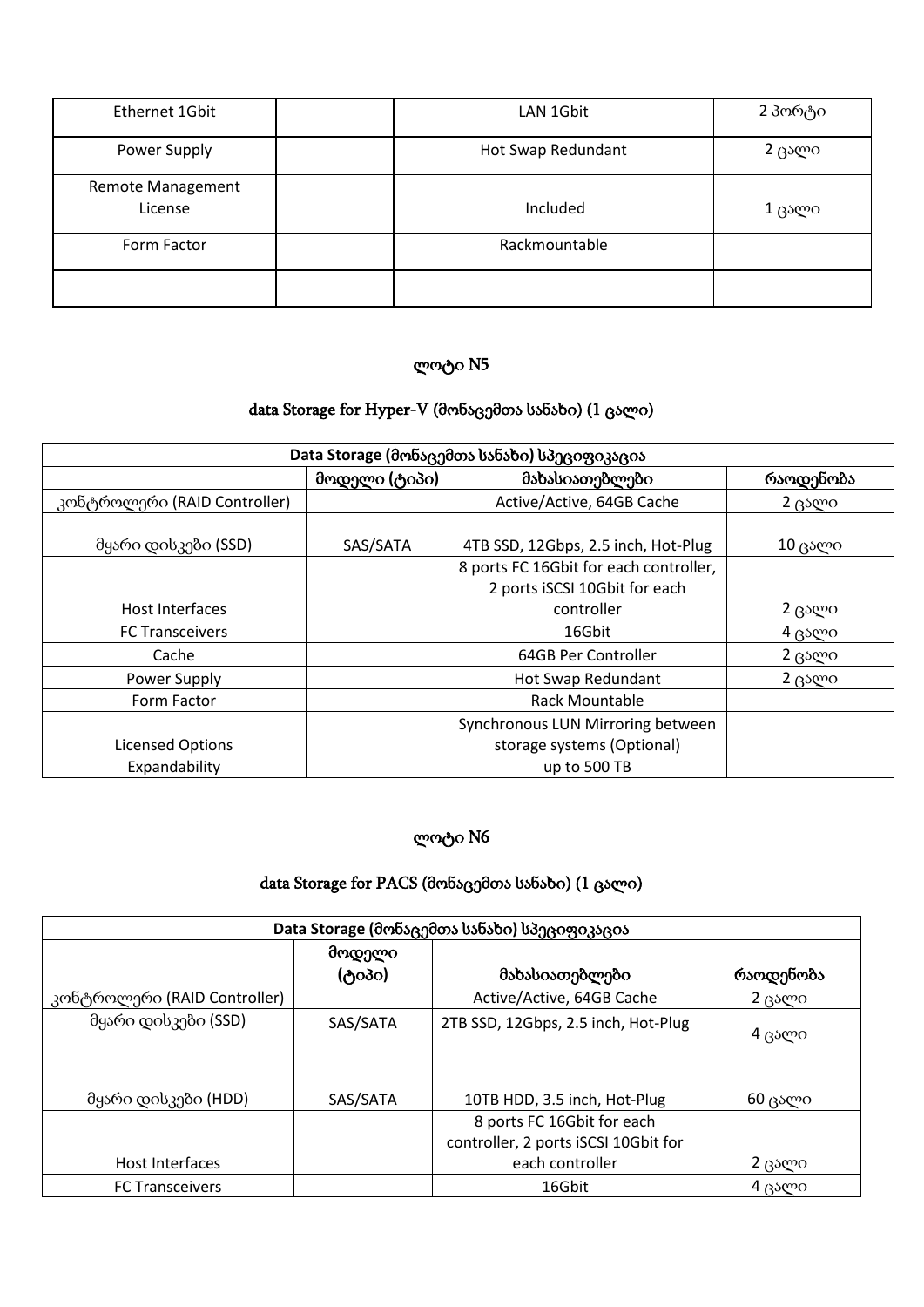| Ethernet 1Gbit                      | LAN 1Gbit          | 2 პორტი |
|-------------------------------------|--------------------|---------|
| Power Supply                        | Hot Swap Redundant | 2 ცალი  |
| <b>Remote Management</b><br>License | Included           | 1 ცალი  |
| Form Factor                         | Rackmountable      |         |
|                                     |                    |         |

#### data Storage for Hyper-V (მონაცემთა სანახი) (1 ცალი)

| Data Storage (მონაცემთა სანახი) სპეციფიკაცია |               |                                        |                |
|----------------------------------------------|---------------|----------------------------------------|----------------|
|                                              | მოდელი (ტიპი) | მახასიათებლები                         | რაოდენობა      |
| კონტროლერი (RAID Controller)                 |               | Active/Active, 64GB Cache              | 2 ცალი         |
| მყარი დისკები (SSD)                          | SAS/SATA      | 4TB SSD, 12Gbps, 2.5 inch, Hot-Plug    | $10 \beta$ ალი |
|                                              |               | 8 ports FC 16Gbit for each controller, |                |
|                                              |               | 2 ports iSCSI 10Gbit for each          |                |
| Host Interfaces                              |               | controller                             | 2 ცალი         |
| <b>FC Transceivers</b>                       |               | 16Gbit                                 | 4 ცალი         |
| Cache                                        |               | 64GB Per Controller                    | 2 ცალი         |
| Power Supply                                 |               | Hot Swap Redundant                     | 2 ცალი         |
| Form Factor                                  |               | <b>Rack Mountable</b>                  |                |
|                                              |               | Synchronous LUN Mirroring between      |                |
| <b>Licensed Options</b>                      |               | storage systems (Optional)             |                |
| Expandability                                |               | up to 500 TB                           |                |

## ლოტი N6

# data Storage for PACS (მონაცემთა სანახი) (1 ცალი)

| Data Storage (მონაცემთა სანახი) სპეციფიკაცია |          |                                      |           |
|----------------------------------------------|----------|--------------------------------------|-----------|
|                                              | მოდელი   |                                      |           |
|                                              | (ტიპი)   | მახასიათებლები                       | რაოდენობა |
| კონტროლერი (RAID Controller)                 |          | Active/Active, 64GB Cache            | 2 ცალი    |
| მყარი დისკები (SSD)                          | SAS/SATA | 2TB SSD, 12Gbps, 2.5 inch, Hot-Plug  | 4 ცალი    |
| მყარი დისკები (HDD)                          | SAS/SATA | 10TB HDD, 3.5 inch, Hot-Plug         | 60 ცალი   |
| 8 ports FC 16Gbit for each                   |          |                                      |           |
|                                              |          | controller, 2 ports iSCSI 10Gbit for |           |
| Host Interfaces                              |          | each controller                      | 2 ცალი    |
| <b>FC Transceivers</b>                       |          | 16Gbit                               | 4 ცალი    |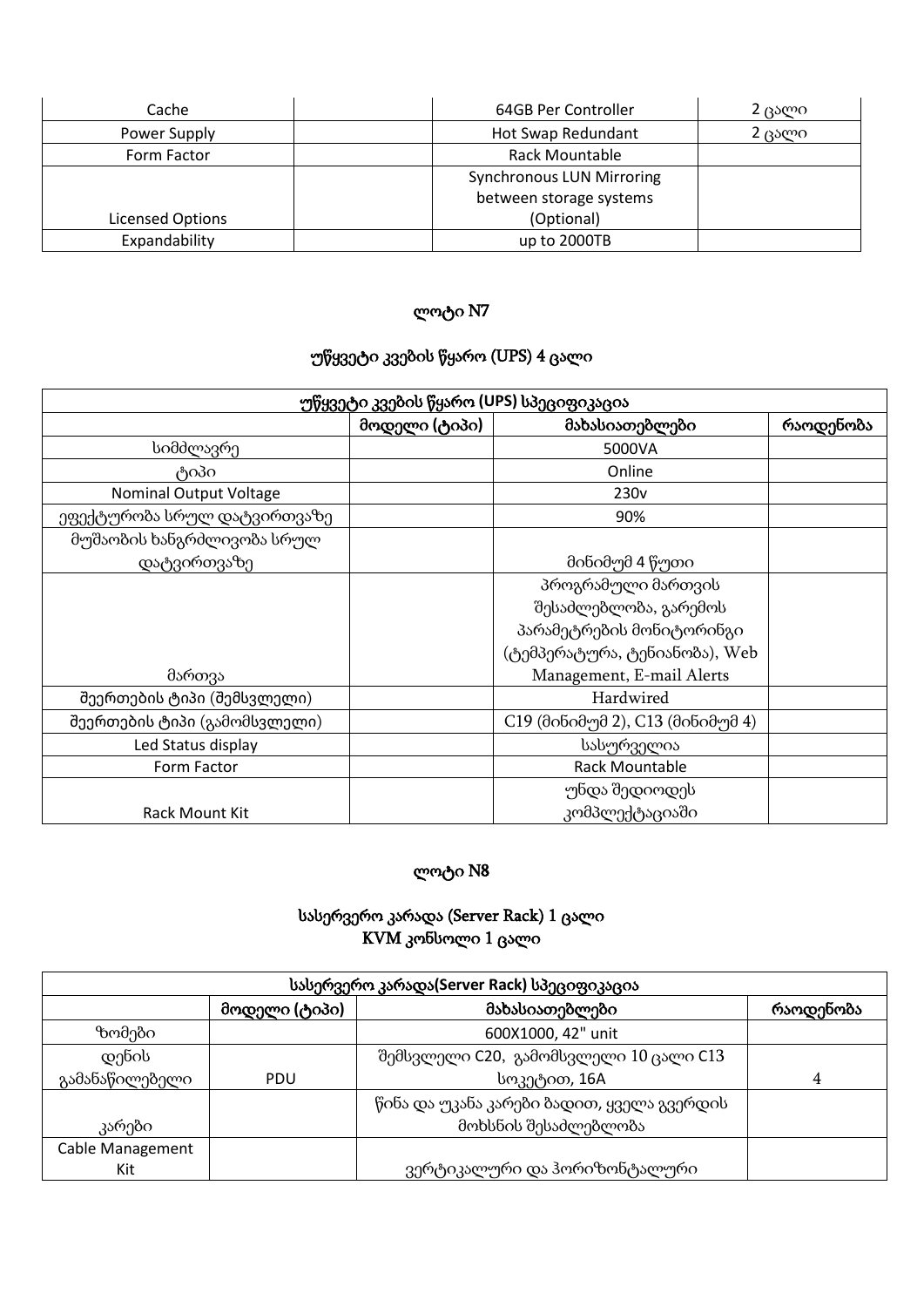| Cache            | 64GB Per Controller              | 2 ცალი |
|------------------|----------------------------------|--------|
| Power Supply     | Hot Swap Redundant<br>2 ცალი     |        |
| Form Factor      | Rack Mountable                   |        |
|                  | <b>Synchronous LUN Mirroring</b> |        |
|                  | between storage systems          |        |
| Licensed Options | (Optional)                       |        |
| Expandability    | up to 2000TB                     |        |

# უწყვეტი კვების წყარო (UPS) 4 ცალი

| უწყვეტი კვების წყარო (UPS) სპეციფიკაცია |               |                                  |           |
|-----------------------------------------|---------------|----------------------------------|-----------|
|                                         | მოდელი (ტიპი) | მახასიათებლები                   | რაოდენობა |
| სიმძლავრე                               |               | 5000VA                           |           |
| ტიპი                                    |               | Online                           |           |
| <b>Nominal Output Voltage</b>           |               | 230 <sub>v</sub>                 |           |
| ეფექტურობა სრულ დატვირთვაზე             |               | 90%                              |           |
| მუშაობის ხანგრძლივობა სრულ              |               |                                  |           |
| დატვირთვაზე                             |               | მინიმუმ 4 წუთი                   |           |
|                                         |               | პროგრამული მართვის               |           |
|                                         |               | შესაძლებლობა, გარემოს            |           |
|                                         |               | პარამეტრების მონიტორინგი         |           |
|                                         |               | (ტემპერატურა, ტენიანობა), Web    |           |
| მართვა                                  |               | Management, E-mail Alerts        |           |
| შეერთების ტიპი (შემსვლელი)              |               | Hardwired                        |           |
| შეერთების ტიპი (გამომსვლელი)            |               | C19 (მინიმუმ 2), C13 (მინიმუმ 4) |           |
| Led Status display                      |               | სასურველია                       |           |
| Form Factor                             |               | Rack Mountable                   |           |
|                                         |               | უნდა შედიოდეს                    |           |
| Rack Mount Kit                          |               | კომპლექტაციაში                   |           |

## ლოტი N8

#### სასერვერო კარადა (Server Rack) 1 ცალი KVM კონსოლი 1 ცალი

| სასერვერო კარადა(Server Rack) სპეციფიკაცია |               |                                           |           |
|--------------------------------------------|---------------|-------------------------------------------|-----------|
|                                            | მოდელი (ტიპი) | მახასიათებლები                            | რაოდენობა |
| ზომები                                     |               | 600X1000, 42" unit                        |           |
| დენის                                      |               | შემსვლელი C20, გამომსვლელი 10 ცალი C13    |           |
| გამანაწილებელი                             | <b>PDU</b>    | სოკეტით, 16A                              | 4         |
|                                            |               | წინა და უკანა კარები ბადით, ყველა გვერდის |           |
| კარები                                     |               | მოხსნის შესაძლებლობა                      |           |
| Cable Management                           |               |                                           |           |
| Kit                                        |               | ვერტიკალური და ჰორიზონტალური              |           |